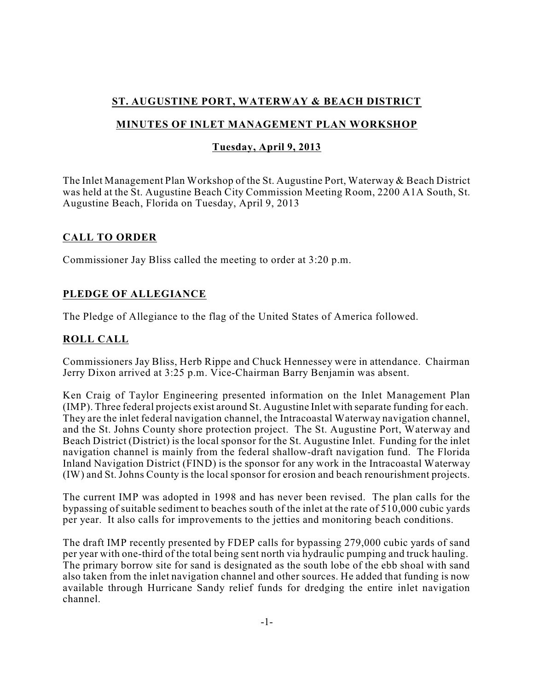## **ST. AUGUSTINE PORT, WATERWAY & BEACH DISTRICT**

## **MINUTES OF INLET MANAGEMENT PLAN WORKSHOP**

### **Tuesday, April 9, 2013**

The Inlet Management Plan Workshop of the St. Augustine Port, Waterway & Beach District was held at the St. Augustine Beach City Commission Meeting Room, 2200 A1A South, St. Augustine Beach, Florida on Tuesday, April 9, 2013

#### **CALL TO ORDER**

Commissioner Jay Bliss called the meeting to order at 3:20 p.m.

## **PLEDGE OF ALLEGIANCE**

The Pledge of Allegiance to the flag of the United States of America followed.

## **ROLL CALL**

Commissioners Jay Bliss, Herb Rippe and Chuck Hennessey were in attendance. Chairman Jerry Dixon arrived at 3:25 p.m. Vice-Chairman Barry Benjamin was absent.

Ken Craig of Taylor Engineering presented information on the Inlet Management Plan (IMP). Three federal projects exist around St. Augustine Inlet with separate funding for each. They are the inlet federal navigation channel, the Intracoastal Waterway navigation channel, and the St. Johns County shore protection project. The St. Augustine Port, Waterway and Beach District (District) is the local sponsor for the St. Augustine Inlet. Funding for the inlet navigation channel is mainly from the federal shallow-draft navigation fund. The Florida Inland Navigation District (FIND) is the sponsor for any work in the Intracoastal Waterway (IW) and St. Johns County is the local sponsor for erosion and beach renourishment projects.

The current IMP was adopted in 1998 and has never been revised. The plan calls for the bypassing of suitable sediment to beaches south of the inlet at the rate of 510,000 cubic yards per year. It also calls for improvements to the jetties and monitoring beach conditions.

The draft IMP recently presented by FDEP calls for bypassing 279,000 cubic yards of sand per year with one-third of the total being sent north via hydraulic pumping and truck hauling. The primary borrow site for sand is designated as the south lobe of the ebb shoal with sand also taken from the inlet navigation channel and other sources. He added that funding is now available through Hurricane Sandy relief funds for dredging the entire inlet navigation channel.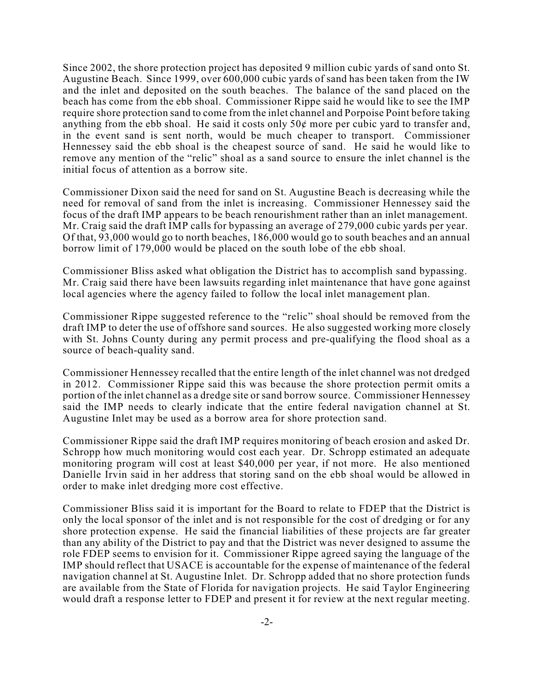Since 2002, the shore protection project has deposited 9 million cubic yards of sand onto St. Augustine Beach. Since 1999, over 600,000 cubic yards of sand has been taken from the IW and the inlet and deposited on the south beaches. The balance of the sand placed on the beach has come from the ebb shoal. Commissioner Rippe said he would like to see the IMP require shore protection sand to come from the inlet channel and Porpoise Point before taking anything from the ebb shoal. He said it costs only  $50¢$  more per cubic yard to transfer and, in the event sand is sent north, would be much cheaper to transport. Commissioner Hennessey said the ebb shoal is the cheapest source of sand. He said he would like to remove any mention of the "relic" shoal as a sand source to ensure the inlet channel is the initial focus of attention as a borrow site.

Commissioner Dixon said the need for sand on St. Augustine Beach is decreasing while the need for removal of sand from the inlet is increasing. Commissioner Hennessey said the focus of the draft IMP appears to be beach renourishment rather than an inlet management. Mr. Craig said the draft IMP calls for bypassing an average of 279,000 cubic yards per year. Of that, 93,000 would go to north beaches, 186,000 would go to south beaches and an annual borrow limit of 179,000 would be placed on the south lobe of the ebb shoal.

Commissioner Bliss asked what obligation the District has to accomplish sand bypassing. Mr. Craig said there have been lawsuits regarding inlet maintenance that have gone against local agencies where the agency failed to follow the local inlet management plan.

Commissioner Rippe suggested reference to the "relic" shoal should be removed from the draft IMP to deter the use of offshore sand sources. He also suggested working more closely with St. Johns County during any permit process and pre-qualifying the flood shoal as a source of beach-quality sand.

Commissioner Hennessey recalled that the entire length of the inlet channel was not dredged in 2012. Commissioner Rippe said this was because the shore protection permit omits a portion of the inlet channel as a dredge site or sand borrow source. Commissioner Hennessey said the IMP needs to clearly indicate that the entire federal navigation channel at St. Augustine Inlet may be used as a borrow area for shore protection sand.

Commissioner Rippe said the draft IMP requires monitoring of beach erosion and asked Dr. Schropp how much monitoring would cost each year. Dr. Schropp estimated an adequate monitoring program will cost at least \$40,000 per year, if not more. He also mentioned Danielle Irvin said in her address that storing sand on the ebb shoal would be allowed in order to make inlet dredging more cost effective.

Commissioner Bliss said it is important for the Board to relate to FDEP that the District is only the local sponsor of the inlet and is not responsible for the cost of dredging or for any shore protection expense. He said the financial liabilities of these projects are far greater than any ability of the District to pay and that the District was never designed to assume the role FDEP seems to envision for it. Commissioner Rippe agreed saying the language of the IMP should reflect that USACE is accountable for the expense of maintenance of the federal navigation channel at St. Augustine Inlet. Dr. Schropp added that no shore protection funds are available from the State of Florida for navigation projects. He said Taylor Engineering would draft a response letter to FDEP and present it for review at the next regular meeting.